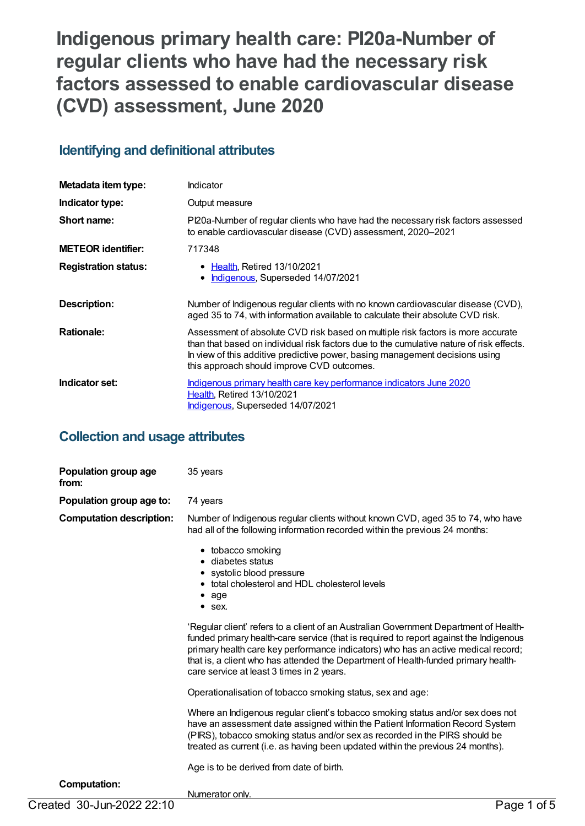**Indigenous primary health care: PI20a-Number of regular clients who have had the necessary risk factors assessed to enable cardiovascular disease (CVD) assessment, June 2020**

## **Identifying and definitional attributes**

| Metadata item type:         | Indicator                                                                                                                                                                                                                                                                                                 |
|-----------------------------|-----------------------------------------------------------------------------------------------------------------------------------------------------------------------------------------------------------------------------------------------------------------------------------------------------------|
| Indicator type:             | Output measure                                                                                                                                                                                                                                                                                            |
| Short name:                 | Pl20a-Number of regular clients who have had the necessary risk factors assessed<br>to enable cardiovascular disease (CVD) assessment, 2020-2021                                                                                                                                                          |
| <b>METEOR identifier:</b>   | 717348                                                                                                                                                                                                                                                                                                    |
| <b>Registration status:</b> | • Health, Retired 13/10/2021<br>• Indigenous, Superseded 14/07/2021                                                                                                                                                                                                                                       |
| Description:                | Number of Indigenous regular clients with no known cardiovascular disease (CVD),<br>aged 35 to 74, with information available to calculate their absolute CVD risk.                                                                                                                                       |
| <b>Rationale:</b>           | Assessment of absolute CVD risk based on multiple risk factors is more accurate<br>than that based on individual risk factors due to the cumulative nature of risk effects.<br>In view of this additive predictive power, basing management decisions using<br>this approach should improve CVD outcomes. |
| Indicator set:              | <u>Indigenous primary health care key performance indicators June 2020</u><br><b>Health, Retired 13/10/2021</b><br>Indigenous, Superseded 14/07/2021                                                                                                                                                      |

## **Collection and usage attributes**

| Population group age to:<br>74 years<br><b>Computation description:</b><br>Number of Indigenous regular clients without known CVD, aged 35 to 74, who have<br>had all of the following information recorded within the previous 24 months:<br>• tobacco smoking<br>• diabetes status<br>• systolic blood pressure<br>• total cholesterol and HDL cholesterol levels<br>$\bullet$ age<br>$•$ sex.<br>'Regular client' refers to a client of an Australian Government Department of Health-<br>funded primary health-care service (that is required to report against the Indigenous<br>primary health care key performance indicators) who has an active medical record;<br>that is, a client who has attended the Department of Health-funded primary health-<br>care service at least 3 times in 2 years.<br>Operationalisation of tobacco smoking status, sex and age:<br>Where an Indigenous regular client's tobacco smoking status and/or sex does not | Population group age<br>from: | 35 years                                                                      |  |
|-------------------------------------------------------------------------------------------------------------------------------------------------------------------------------------------------------------------------------------------------------------------------------------------------------------------------------------------------------------------------------------------------------------------------------------------------------------------------------------------------------------------------------------------------------------------------------------------------------------------------------------------------------------------------------------------------------------------------------------------------------------------------------------------------------------------------------------------------------------------------------------------------------------------------------------------------------------|-------------------------------|-------------------------------------------------------------------------------|--|
|                                                                                                                                                                                                                                                                                                                                                                                                                                                                                                                                                                                                                                                                                                                                                                                                                                                                                                                                                             |                               |                                                                               |  |
|                                                                                                                                                                                                                                                                                                                                                                                                                                                                                                                                                                                                                                                                                                                                                                                                                                                                                                                                                             |                               |                                                                               |  |
|                                                                                                                                                                                                                                                                                                                                                                                                                                                                                                                                                                                                                                                                                                                                                                                                                                                                                                                                                             |                               |                                                                               |  |
|                                                                                                                                                                                                                                                                                                                                                                                                                                                                                                                                                                                                                                                                                                                                                                                                                                                                                                                                                             |                               |                                                                               |  |
|                                                                                                                                                                                                                                                                                                                                                                                                                                                                                                                                                                                                                                                                                                                                                                                                                                                                                                                                                             |                               |                                                                               |  |
| (PIRS), tobacco smoking status and/or sex as recorded in the PIRS should be<br>treated as current (i.e. as having been updated within the previous 24 months).<br>Age is to be derived from date of birth.                                                                                                                                                                                                                                                                                                                                                                                                                                                                                                                                                                                                                                                                                                                                                  |                               | have an assessment date assigned within the Patient Information Record System |  |
| <b>Computation:</b><br>Numerator only.                                                                                                                                                                                                                                                                                                                                                                                                                                                                                                                                                                                                                                                                                                                                                                                                                                                                                                                      |                               |                                                                               |  |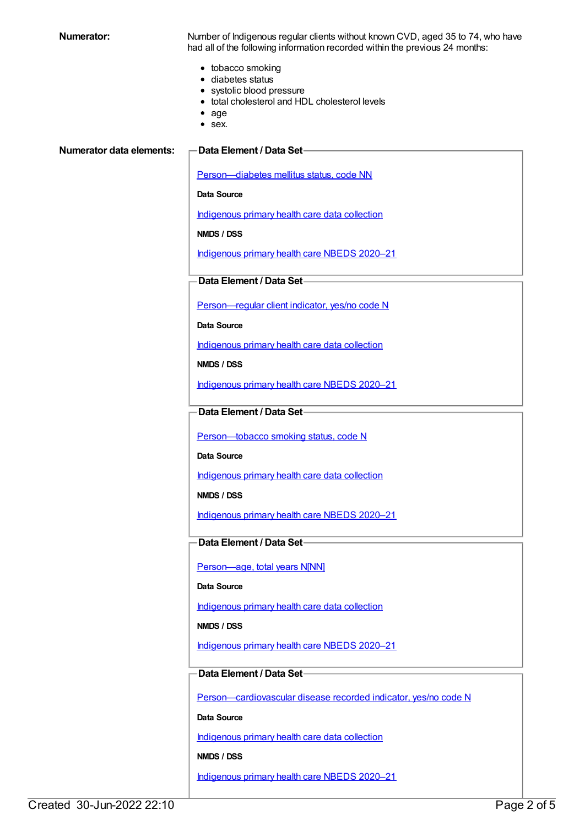**Numerator:** Number of Indigenous regular clients without known CVD, aged 35 to 74, who have had all of the following information recorded within the previous 24 months:

- tobacco smoking
- diabetes status
- systolic blood pressure
- total cholesterol and HDL cholesterol levels
- age
- sex.

#### **Numerator data elements: Data Element / Data Set**

[Person—diabetes](https://meteor.aihw.gov.au/content/270194) mellitus status, code NN

**Data Source**

[Indigenous](https://meteor.aihw.gov.au/content/430643) primary health care data collection

**NMDS / DSS**

[Indigenous](https://meteor.aihw.gov.au/content/715320) primary health care NBEDS 2020–21

## **Data Element / Data Set**

[Person—regular](https://meteor.aihw.gov.au/content/686291) client indicator, yes/no code N

**Data Source**

[Indigenous](https://meteor.aihw.gov.au/content/430643) primary health care data collection

**NMDS / DSS**

[Indigenous](https://meteor.aihw.gov.au/content/715320) primary health care NBEDS 2020–21

**Data Element / Data Set**

Person-tobacco smoking status, code N

**Data Source**

[Indigenous](https://meteor.aihw.gov.au/content/430643) primary health care data collection

**NMDS / DSS**

[Indigenous](https://meteor.aihw.gov.au/content/715320) primary health care NBEDS 2020–21

**Data Element / Data Set**

[Person—age,](https://meteor.aihw.gov.au/content/303794) total years N[NN]

**Data Source**

[Indigenous](https://meteor.aihw.gov.au/content/430643) primary health care data collection

**NMDS / DSS**

[Indigenous](https://meteor.aihw.gov.au/content/715320) primary health care NBEDS 2020–21

## **Data Element / Data Set**

[Person—cardiovascular](https://meteor.aihw.gov.au/content/465948) disease recorded indicator, yes/no code N

**Data Source**

[Indigenous](https://meteor.aihw.gov.au/content/430643) primary health care data collection

**NMDS / DSS**

[Indigenous](https://meteor.aihw.gov.au/content/715320) primary health care NBEDS 2020–21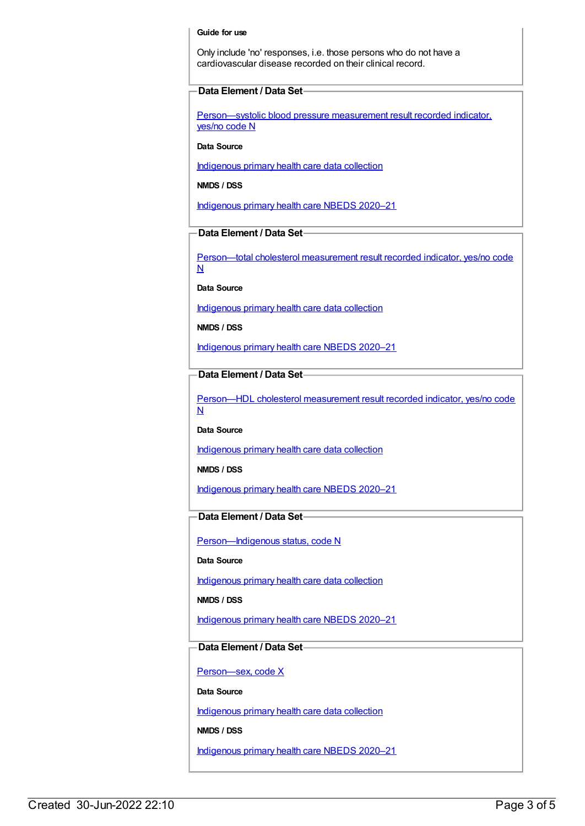#### **Guide for use**

Only include 'no' responses, i.e. those persons who do not have a cardiovascular disease recorded on their clinical record.

### **Data Element / Data Set**

[Person—systolic](https://meteor.aihw.gov.au/content/588766) blood pressure measurement result recorded indicator, yes/no code N

### **Data Source**

[Indigenous](https://meteor.aihw.gov.au/content/430643) primary health care data collection

**NMDS / DSS**

[Indigenous](https://meteor.aihw.gov.au/content/715320) primary health care NBEDS 2020–21

### **Data Element / Data Set**

[Person—total](https://meteor.aihw.gov.au/content/588774) cholesterol measurement result recorded indicator, yes/no code N

**Data Source**

[Indigenous](https://meteor.aihw.gov.au/content/430643) primary health care data collection

**NMDS / DSS**

[Indigenous](https://meteor.aihw.gov.au/content/715320) primary health care NBEDS 2020–21

## **Data Element / Data Set**

[Person—HDL](https://meteor.aihw.gov.au/content/594647) cholesterol measurement result recorded indicator, yes/no code N

**Data Source**

[Indigenous](https://meteor.aihw.gov.au/content/430643) primary health care data collection

**NMDS / DSS**

[Indigenous](https://meteor.aihw.gov.au/content/715320) primary health care NBEDS 2020–21

## **Data Element / Data Set**

Person-Indigenous status, code N

**Data Source**

[Indigenous](https://meteor.aihw.gov.au/content/430643) primary health care data collection

**NMDS / DSS**

[Indigenous](https://meteor.aihw.gov.au/content/715320) primary health care NBEDS 2020–21

#### **Data Element / Data Set**

[Person—sex,](https://meteor.aihw.gov.au/content/635126) code X

**Data Source**

[Indigenous](https://meteor.aihw.gov.au/content/430643) primary health care data collection

**NMDS / DSS**

[Indigenous](https://meteor.aihw.gov.au/content/715320) primary health care NBEDS 2020–21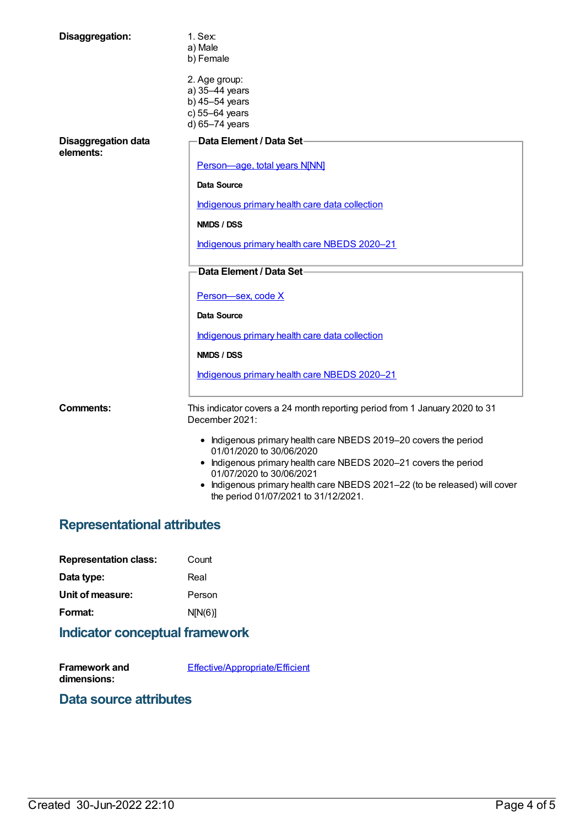| Disaggregation:                         | 1. Sex:<br>a) Male<br>b) Female                                                                                                                                  |
|-----------------------------------------|------------------------------------------------------------------------------------------------------------------------------------------------------------------|
|                                         | 2. Age group:<br>a) 35-44 years<br>b) 45-54 years<br>c) 55-64 years<br>d) 65-74 years                                                                            |
| <b>Disaggregation data</b><br>elements: | Data Element / Data Set-                                                                                                                                         |
|                                         | Person-age, total years N[NN]                                                                                                                                    |
|                                         | Data Source                                                                                                                                                      |
|                                         | Indigenous primary health care data collection<br>NMDS / DSS                                                                                                     |
|                                         | Indigenous primary health care NBEDS 2020-21                                                                                                                     |
|                                         | Data Element / Data Set-                                                                                                                                         |
|                                         | Person-sex, code X                                                                                                                                               |
|                                         | <b>Data Source</b>                                                                                                                                               |
|                                         | Indigenous primary health care data collection                                                                                                                   |
|                                         | NMDS / DSS                                                                                                                                                       |
|                                         | Indigenous primary health care NBEDS 2020-21                                                                                                                     |
| <b>Comments:</b>                        | This indicator covers a 24 month reporting period from 1 January 2020 to 31<br>December 2021:                                                                    |
|                                         | • Indigenous primary health care NBEDS 2019-20 covers the period<br>01/01/2020 to 30/06/2020<br>• Indigenous primary health care NBEDS 2020-21 covers the period |
|                                         | 01/07/2020 to 30/06/2021<br>$\bullet$ Indigenous primary health care NREDS 2021-22 (to be released) will cover                                                   |

#### Indigenous primary health care NBEDS 2021–22 (to be released) will cover the period 01/07/2021 to 31/12/2021.

# **Representational attributes**

| <b>Representation class:</b> | Count   |
|------------------------------|---------|
| Data type:                   | Real    |
| Unit of measure:             | Person  |
| Format:                      | N[N(6)] |
|                              |         |

# **Indicator conceptual framework**

| Framework and | Effective/Appropriate/Efficient |
|---------------|---------------------------------|
| dimensions:   |                                 |

## **Data source attributes**